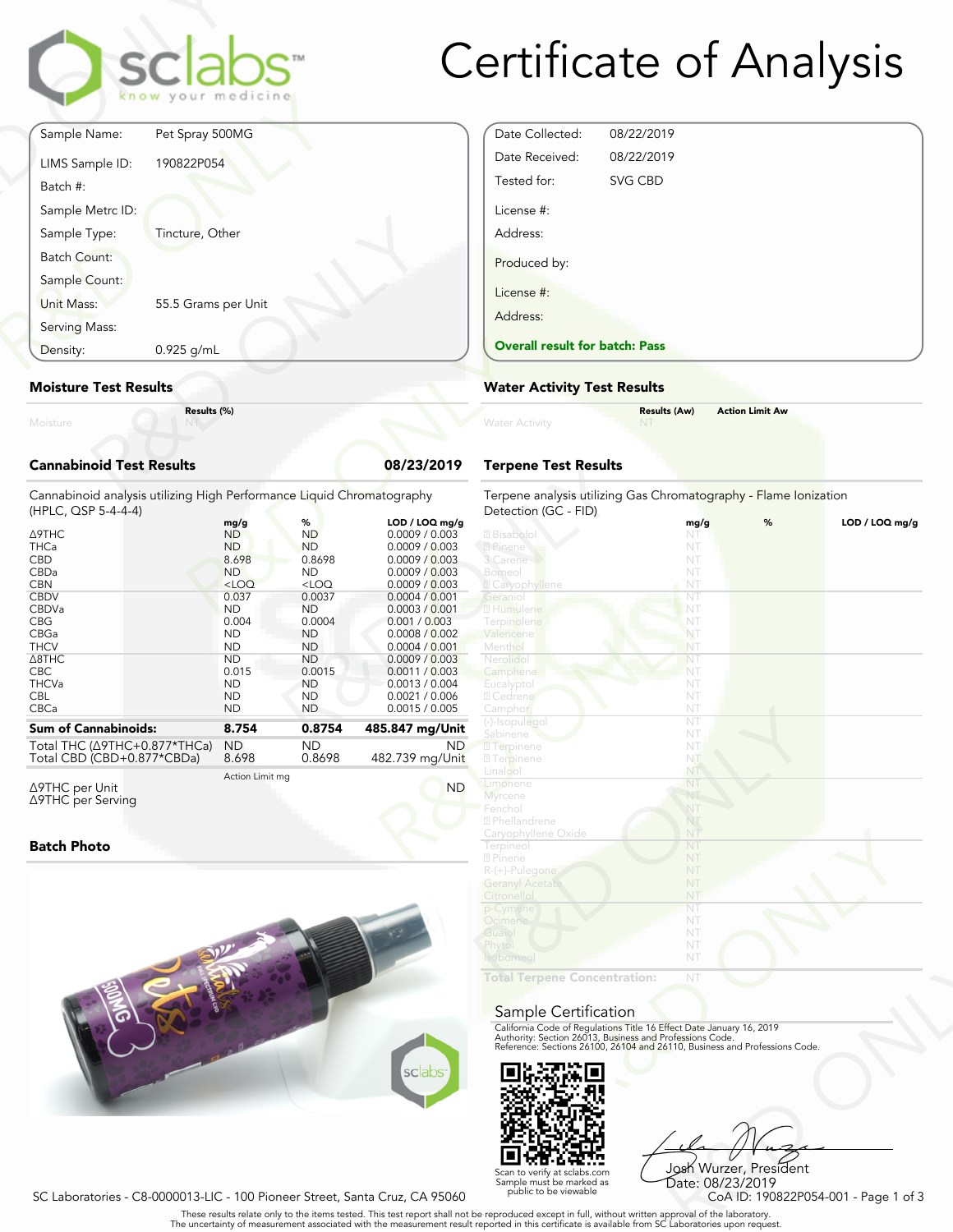

| Serving Mass:<br>Density:                    | 0.925 g/mL                                                   |  |
|----------------------------------------------|--------------------------------------------------------------|--|
| Batch Count:<br>Sample Count:<br>Unit Mass:  | 55.5 Grams per Unit                                          |  |
| Batch #:<br>Sample Metrc ID:<br>Sample Type: | Tincture, Other                                              |  |
| LIMS Sample ID:                              | 190822P054                                                   |  |
| Sample Name:                                 | sclabs <sup>®</sup><br>know your medicine<br>Pet Spray 500MG |  |

### **Moisture Test Results**

### **Cannabinoid Test Results 08/23/2019**

| $0.925$ g/mL<br>Density:                                                                                                                                                                      |                                                                                                                                                                                       |                                                                                                                                                                                        |                                                                                                                                                                                                                                                                                             | <b>Overall result for batc</b>                                                                                                                                                                         |
|-----------------------------------------------------------------------------------------------------------------------------------------------------------------------------------------------|---------------------------------------------------------------------------------------------------------------------------------------------------------------------------------------|----------------------------------------------------------------------------------------------------------------------------------------------------------------------------------------|---------------------------------------------------------------------------------------------------------------------------------------------------------------------------------------------------------------------------------------------------------------------------------------------|--------------------------------------------------------------------------------------------------------------------------------------------------------------------------------------------------------|
| <b>Moisture Test Results</b>                                                                                                                                                                  | <b>Water Activity Test R</b>                                                                                                                                                          |                                                                                                                                                                                        |                                                                                                                                                                                                                                                                                             |                                                                                                                                                                                                        |
| Moisture                                                                                                                                                                                      | Results (%)                                                                                                                                                                           |                                                                                                                                                                                        |                                                                                                                                                                                                                                                                                             | <b>Water Activity</b>                                                                                                                                                                                  |
| <b>Cannabinoid Test Results</b>                                                                                                                                                               |                                                                                                                                                                                       |                                                                                                                                                                                        | 08/23/2019                                                                                                                                                                                                                                                                                  | <b>Terpene Test Results</b>                                                                                                                                                                            |
| Cannabinoid analysis utilizing High Performance Liquid Chromatography<br>(HPLC, QSP 5-4-4-4)                                                                                                  |                                                                                                                                                                                       |                                                                                                                                                                                        |                                                                                                                                                                                                                                                                                             | Terpene analysis utilizing<br>Detection (GC - FID)                                                                                                                                                     |
| ∆9THC<br><b>THCa</b><br><b>CBD</b><br>CBDa<br><b>CBN</b><br><b>CBDV</b><br>CBDVa<br><b>CBG</b><br>CBGa<br><b>THCV</b><br>$\triangle$ 8THC<br><b>CBC</b><br><b>THCVa</b><br><b>CBL</b><br>CBCa | mg/g<br><b>ND</b><br><b>ND</b><br>8.698<br><b>ND</b><br>$<$ LOQ<br>0.037<br><b>ND</b><br>0.004<br><b>ND</b><br><b>ND</b><br><b>ND</b><br>0.015<br><b>ND</b><br><b>ND</b><br><b>ND</b> | %<br><b>ND</b><br><b>ND</b><br>0.8698<br><b>ND</b><br>$<$ LOQ<br>0.0037<br><b>ND</b><br>0.0004<br><b>ND</b><br><b>ND</b><br><b>ND</b><br>0.0015<br><b>ND</b><br><b>ND</b><br><b>ND</b> | LOD / LOQ mg/g<br>0.0009 / 0.003<br>0.0009 / 0.003<br>0.0009 / 0.003<br>0.0009 / 0.003<br>0.0009 / 0.003<br>0.0004 / 0.001<br>0.0003 / 0.001<br>0.001 / 0.003<br>0.0008 / 0.002<br>0.0004 / 0.001<br>0.0009 / 0.003<br>0.0011 / 0.003<br>0.0013 / 0.004<br>0.0021 / 0.006<br>0.0015 / 0.005 | 2 Bisabolol<br>2 Pinene<br>3 Carene<br>Borneol<br><b>Z</b> Caryophyllene<br>Geranio<br>2 Humulene<br>Terpinolene<br>Valencene<br>Menthol<br>Nerolido<br>Camphene<br>Eucalyptol<br>2 Cedrene<br>Camphor |
| <b>Sum of Cannabinoids:</b>                                                                                                                                                                   | 8.754                                                                                                                                                                                 | 0.8754                                                                                                                                                                                 | 485.847 mg/Unit                                                                                                                                                                                                                                                                             | (-)-Isopulegol<br>Sabinene                                                                                                                                                                             |
| Total THC (∆9THC+0.877*THCa)<br>Total CBD (CBD+0.877*CBDa)                                                                                                                                    | <b>ND</b><br>8.698                                                                                                                                                                    | <b>ND</b><br>0.8698                                                                                                                                                                    | ND.<br>482.739 mg/Unit                                                                                                                                                                                                                                                                      | 2 Terpinene<br><b>27 Terpinene</b>                                                                                                                                                                     |
| $\triangle$ 9THC per Unit                                                                                                                                                                     | Action Limit mg                                                                                                                                                                       |                                                                                                                                                                                        | <b>ND</b>                                                                                                                                                                                                                                                                                   | Linalool<br>Limonene                                                                                                                                                                                   |

Δ9THC per Unit Δ9THC per Serving

### **Batch Photo**



| Date Collected:                       | 08/22/2019 |  |  |
|---------------------------------------|------------|--|--|
| Date Received:                        | 08/22/2019 |  |  |
| Tested for:                           | SVG CBD    |  |  |
| License #:                            |            |  |  |
| Address:                              |            |  |  |
| Produced by:                          |            |  |  |
| License #:                            |            |  |  |
| Address:                              |            |  |  |
| <b>Overall result for batch: Pass</b> |            |  |  |

## **Water Activity Test Results**

|                       | <b>Results (Aw)</b> | <b>Action Limit Aw</b> |
|-----------------------|---------------------|------------------------|
| <b>Water Activity</b> |                     |                        |
|                       |                     |                        |

## **Terpene Test Results**

| atography           | Terpene analysis utilizing Gas Chromatography - Flame Ionization<br>Detection (GC - FID)                                                                                                                       |          |   |                |
|---------------------|----------------------------------------------------------------------------------------------------------------------------------------------------------------------------------------------------------------|----------|---|----------------|
| LOD / LOQ mg/g      |                                                                                                                                                                                                                | mg/g     | % | LOD / LOQ mg/g |
| 0.0009 / 0.003      | 2 Bisabolol                                                                                                                                                                                                    | NT       |   |                |
| 0.0009 / 0.003      | 2 Pinene                                                                                                                                                                                                       | NT       |   |                |
| 0.0009 / 0.003      | 3 Carene                                                                                                                                                                                                       | NT       |   |                |
| 0.0009 / 0.003      | Borneol                                                                                                                                                                                                        | NT       |   |                |
| 0.0009 / 0.003      | <sup>2</sup> Caryophyllene                                                                                                                                                                                     | NT       |   |                |
| 0.0004 / 0.001      | Geraniol                                                                                                                                                                                                       | NT       |   |                |
| 0.0003 / 0.001      | 2 Humulene                                                                                                                                                                                                     | NT       |   |                |
| 0.001 / 0.003       | Terpinolene                                                                                                                                                                                                    | NT       |   |                |
| 0.0008 / 0.002      | Valencene                                                                                                                                                                                                      | NT       |   |                |
| 0.0004 / 0.001      | Menthol                                                                                                                                                                                                        | NT       |   |                |
| 0.0009 / 0.003      | Nerolidol                                                                                                                                                                                                      | NT       |   |                |
| 0.0011 / 0.003      | Camphene                                                                                                                                                                                                       | NT       |   |                |
| 0.0013 / 0.004      | Eucalyptol                                                                                                                                                                                                     | NT       |   |                |
| 0.0021 / 0.006      | 2 Cedrene                                                                                                                                                                                                      | NT       |   |                |
| 0.0015 / 0.005      | Camphor                                                                                                                                                                                                        | NT       |   |                |
| 35.847 mg/Unit      | (-)-Isopulegol                                                                                                                                                                                                 | NT       |   |                |
|                     | Sabinene                                                                                                                                                                                                       | NT       |   |                |
| ND.                 | 2 Terpinene                                                                                                                                                                                                    | NT       |   |                |
| 82.739 mg/Unit      | <b>27 Terpinene</b>                                                                                                                                                                                            | NT       |   |                |
|                     | Linalool                                                                                                                                                                                                       | NT       |   |                |
| <b>ND</b>           | Limonene                                                                                                                                                                                                       | NT       |   |                |
|                     | Myrcene                                                                                                                                                                                                        | NT       |   |                |
|                     | Fenchol<br><sup>7</sup> Phellandrene                                                                                                                                                                           | NT<br>NT |   |                |
|                     |                                                                                                                                                                                                                | NT       |   |                |
|                     | Caryophyllene Oxide<br>Terpineol                                                                                                                                                                               | NT       |   |                |
|                     | 2 Pinene                                                                                                                                                                                                       | NT       |   |                |
|                     | R-(+)-Pulegone                                                                                                                                                                                                 | NT       |   |                |
|                     | <b>Geranyl Acetate</b>                                                                                                                                                                                         | NT       |   |                |
|                     | Citronellol                                                                                                                                                                                                    | NT       |   |                |
|                     | p-Cymene                                                                                                                                                                                                       | NT       |   |                |
|                     | Ocimene                                                                                                                                                                                                        | NT       |   |                |
|                     | Guaiol                                                                                                                                                                                                         | NT       |   |                |
|                     | Phytol                                                                                                                                                                                                         | NT       |   |                |
|                     | <b>Isoborneol</b>                                                                                                                                                                                              | NT       |   |                |
|                     | <b>Total Terpene Concentration:</b>                                                                                                                                                                            | NT       |   |                |
|                     | Sample Certification                                                                                                                                                                                           |          |   |                |
|                     | California Code of Regulations Title 16 Effect Date January 16, 2019<br>Authority: Section 26013, Business and Professions Code.<br>Reference: Sections 26100, 26104 and 26110, Business and Professions Code. |          |   |                |
| sclabs <sup>®</sup> |                                                                                                                                                                                                                |          |   |                |
|                     |                                                                                                                                                                                                                |          |   |                |

#### Sample Certification



NT<br>
NT<br>
Fect Date January 16, 2019<br>
rofessions Code.<br>
9110, Business and Professions Code.<br>
910, Business and Professions Code.<br>
9223/2019<br>
CoA ID: 190822P054-001 - Page 1 of 3<br>
pproval of the laboratories upon request. Josh Wurzer, President Date: 08/23/2019

SC Laboratories - C8-0000013-LIC - 100 Pioneer Street, Santa Cruz, CA 95060

. These results relate only to the items tested. This test report shall not be reproduced except in full, without written approval of the laboratory.<br>The uncertainty of measurement associated with the measurement result re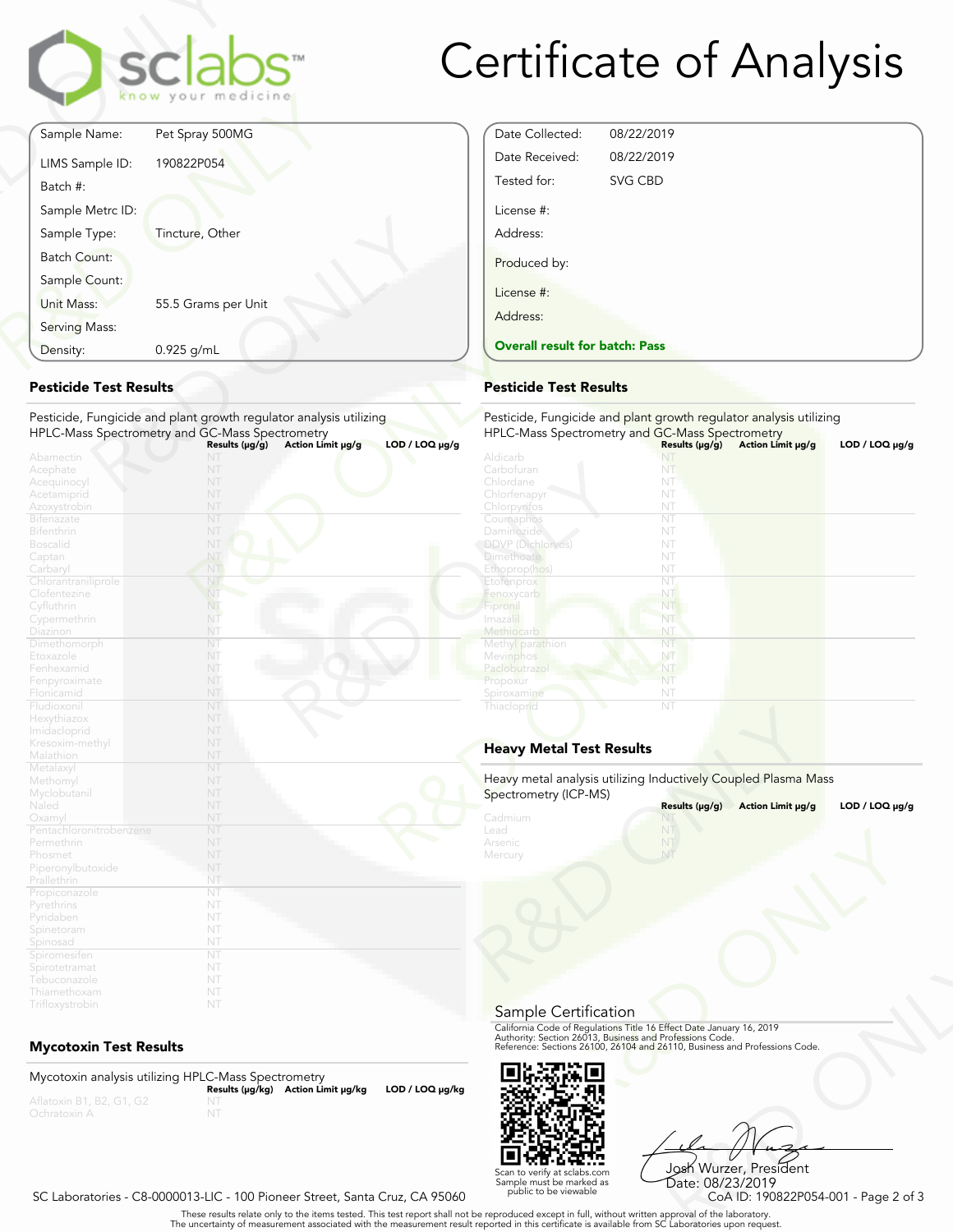

# Certificate of Analysis

Date Collected: 08/22/2019 Date Received: 08/22/2019 Tested for: SVG CBD

**Overall result for batch: Pass**

License #: Address:

Produced by:

License #: Address:

|                               | <b>sclabs</b><br>know your medicine                                                                                                                                                 |
|-------------------------------|-------------------------------------------------------------------------------------------------------------------------------------------------------------------------------------|
| Sample Name:                  | Pet Spray 500MG                                                                                                                                                                     |
| LIMS Sample ID:               | 190822P054                                                                                                                                                                          |
| Batch #:                      |                                                                                                                                                                                     |
| Sample Metrc ID:              |                                                                                                                                                                                     |
| Sample Type:                  | Tincture, Other                                                                                                                                                                     |
| <b>Batch Count:</b>           |                                                                                                                                                                                     |
| Sample Count:                 |                                                                                                                                                                                     |
| Unit Mass:                    | 55.5 Grams per Unit                                                                                                                                                                 |
| Serving Mass:                 |                                                                                                                                                                                     |
| Density:                      | 0.925 g/mL                                                                                                                                                                          |
| <b>Pesticide Test Results</b> | Pesticide, Fungicide and plant growth regulator analysis utilizing<br>HPLC-Mass Spectrometry and GC-Mass Spectrometry<br>Results (µg/g)<br>Action Limit µg/g<br>$LOD / LOQ \mu g/g$ |
| Abamectin<br>Acephate         |                                                                                                                                                                                     |
| Acequinocyl                   |                                                                                                                                                                                     |

## **Pesticide Test Results**

| Density:                                                                        | 0.925 g/mL                                                                                                            | <b>Overall result for batc</b>                                             |
|---------------------------------------------------------------------------------|-----------------------------------------------------------------------------------------------------------------------|----------------------------------------------------------------------------|
| <b>Pesticide Test Results</b>                                                   |                                                                                                                       | <b>Pesticide Test Results</b>                                              |
|                                                                                 | Pesticide, Fungicide and plant growth regulator analysis utilizing<br>HPLC-Mass Spectrometry and GC-Mass Spectrometry | Pesticide, Fungicide and<br><b>HPLC-Mass Spectrometry</b>                  |
| Abamectin<br>Acephate<br>Acequinocyl<br>Acetamiprid                             | Action Limit µg/g<br>Results $(\mu g/g)$<br>NT<br>NT<br>NT<br>NT                                                      | $LOD / LOQ \mu g/g$<br>Aldicarb<br>Carbofuran<br>Chlordane<br>Chlorfenapyr |
| Azoxystrobin<br><b>Bifenazate</b><br><b>Bifenthrin</b><br><b>Boscalid</b>       | NT<br>NT<br>NT<br>NT                                                                                                  | Chlorpyrifos<br>Coumaphos<br>Daminozide<br><b>DDVP</b> (Dichlorvos)        |
| Captan<br>Carbaryl<br>Chlorantraniliprole<br>Clofentezine<br>Cyfluthrin         | NT<br>NT<br>NT<br>NT<br>NT.                                                                                           | <b>Dimethoate</b><br>Ethoprop(hos)<br>Etofenprox<br>Fenoxycarb<br>Fipronil |
| Cypermethrin<br>Diazinon<br>Dimethomorph<br>Etoxazole                           | NT<br>NT<br>NT<br>NT                                                                                                  | Imaza i<br>Methiocarb<br>Methyl parathion<br>Mevinphos                     |
| Fenhexamid<br>Fenpyroximate<br>Flonicamid<br>Fludioxonil                        | NT<br>NT<br>NT<br>NT                                                                                                  | Paclobutrazo<br>Propoxur<br>Spiroxamine<br>Thiacloprid                     |
| Hexythiazox<br>Imidacloprid<br>Kresoxim-methyl<br>Malathion                     | NT<br>NT<br>NT<br>NT                                                                                                  | <b>Heavy Metal Test Res</b>                                                |
| Metalaxyl<br>Methomyl<br>Myclobutanil<br>Naled                                  | NT<br>NT<br>NT<br>NT                                                                                                  | Heavy metal analysis utiliz<br>Spectrometry (ICP-MS)                       |
| Oxamyl<br>Pentachloronitrobenzene<br>Permethrin<br>Phosmet<br>Piperonylbutoxide | NT<br>NT<br>NT<br>NT<br>NT                                                                                            | Cadmium<br>Lead<br>Arsenic<br>Mercury                                      |
| Prallethrin<br>Propiconazole<br>Pyrethrins<br>Pyridaben                         | NT<br>NT<br>NT<br>NT                                                                                                  |                                                                            |
| Spinetoram<br>Spinosad<br>Spiromesifen<br>Spirotetramat                         | NT<br>NT<br>NT<br>NT<br>NT                                                                                            |                                                                            |
| Tebuconazole<br>Thiamethoxam<br>Trifloxystrobin                                 | NT<br>NT                                                                                                              |                                                                            |

## **Mycotoxin Test Results**

Mycotoxin analysis utilizing HPLC-Mass Spectrometry **Results (μg/kg) Action Limit μg/kg LOD / LOQ μg/kg** NT



Frect Date January 16, 2019<br>
Trofessions Code.<br>
110, Business and Professions Code.<br>
110, Business and Professions Code.<br>
108 Wurzer, President<br>
Date: 08/23/2019<br>
CoA ID: 190822P054-001 - Page 2 of 3<br>
pproval of the labora Josh Wurzer, President Date: 08/23/2019<br>CoA ID: 190822P054-001 - Page 2 of 3

#### SC Laboratories - C8-0000013-LIC - 100 Pioneer Street, Santa Cruz, CA 95060

. These results relate only to the items tested. This test report shall not be reproduced except in full, without written approval of the laboratory.<br>The uncertainty of measurement associated with the measurement result re

Scan to verify at sclabs.com Sample must be marked as public to be viewable

| Aldicarb<br>Carbofuran<br>NT<br>Chlordane<br>NT<br>Chlorfenapyr<br>NT<br>NT<br>Chlorpyrifos<br>NT<br>Coumaphos<br>Daminozide<br>NT<br><b>DDVP</b> (Dichlorvos)<br>NT<br><b>Dimethoate</b><br>NT<br>Ethoprop(hos)<br>NT<br>NT<br>Etofenprox<br>Fenoxycarb<br>NT<br>Fipronil<br>NT<br>Imazalil<br>NT<br>Methiocarb<br>NT<br>Methyl parathion<br>NT<br>Mevinphos<br>NT<br>Paclobutrazol<br>NT<br>Propoxur<br>NT<br>NT<br>Spiroxamine<br>Thiacloprid<br>NT |                                 |                |                   |                     |
|--------------------------------------------------------------------------------------------------------------------------------------------------------------------------------------------------------------------------------------------------------------------------------------------------------------------------------------------------------------------------------------------------------------------------------------------------------|---------------------------------|----------------|-------------------|---------------------|
|                                                                                                                                                                                                                                                                                                                                                                                                                                                        |                                 |                |                   |                     |
|                                                                                                                                                                                                                                                                                                                                                                                                                                                        |                                 |                |                   |                     |
|                                                                                                                                                                                                                                                                                                                                                                                                                                                        |                                 |                |                   |                     |
|                                                                                                                                                                                                                                                                                                                                                                                                                                                        |                                 |                |                   |                     |
|                                                                                                                                                                                                                                                                                                                                                                                                                                                        |                                 |                |                   |                     |
|                                                                                                                                                                                                                                                                                                                                                                                                                                                        |                                 |                |                   |                     |
|                                                                                                                                                                                                                                                                                                                                                                                                                                                        |                                 |                |                   |                     |
|                                                                                                                                                                                                                                                                                                                                                                                                                                                        |                                 |                |                   |                     |
|                                                                                                                                                                                                                                                                                                                                                                                                                                                        |                                 |                |                   |                     |
|                                                                                                                                                                                                                                                                                                                                                                                                                                                        |                                 |                |                   |                     |
|                                                                                                                                                                                                                                                                                                                                                                                                                                                        |                                 |                |                   |                     |
|                                                                                                                                                                                                                                                                                                                                                                                                                                                        |                                 |                |                   |                     |
|                                                                                                                                                                                                                                                                                                                                                                                                                                                        |                                 |                |                   |                     |
|                                                                                                                                                                                                                                                                                                                                                                                                                                                        |                                 |                |                   |                     |
|                                                                                                                                                                                                                                                                                                                                                                                                                                                        |                                 |                |                   |                     |
|                                                                                                                                                                                                                                                                                                                                                                                                                                                        |                                 |                |                   |                     |
|                                                                                                                                                                                                                                                                                                                                                                                                                                                        |                                 |                |                   |                     |
|                                                                                                                                                                                                                                                                                                                                                                                                                                                        |                                 |                |                   |                     |
|                                                                                                                                                                                                                                                                                                                                                                                                                                                        |                                 |                |                   |                     |
|                                                                                                                                                                                                                                                                                                                                                                                                                                                        |                                 |                |                   |                     |
|                                                                                                                                                                                                                                                                                                                                                                                                                                                        |                                 |                |                   |                     |
|                                                                                                                                                                                                                                                                                                                                                                                                                                                        | <b>Heavy Metal Test Results</b> |                |                   |                     |
| Heavy metal analysis utilizing Inductively Coupled Plasma Mass                                                                                                                                                                                                                                                                                                                                                                                         | Spectrometry (ICP-MS)           | Results (µg/g) | Action Limit µg/g | $LOD / LOQ \mu g/g$ |
|                                                                                                                                                                                                                                                                                                                                                                                                                                                        | Cadmium                         | NT             |                   |                     |
|                                                                                                                                                                                                                                                                                                                                                                                                                                                        | Lead                            |                |                   |                     |

## **Heavy Metal Test Results**

| Spectrometry (ICP-MS)                 | Heavy metal analysis utilizing Inductively Coupled Plasma Mass                                                                                                                                                 |                     |
|---------------------------------------|----------------------------------------------------------------------------------------------------------------------------------------------------------------------------------------------------------------|---------------------|
|                                       | Results (µg/g)<br>Action Limit µg/g                                                                                                                                                                            | LOD / LOQ $\mu$ g/g |
| Cadmium<br>Lead<br>Arsenic<br>Mercury | NT                                                                                                                                                                                                             |                     |
| Sample Certification                  |                                                                                                                                                                                                                |                     |
|                                       | California Code of Regulations Title 16 Effect Date January 16, 2019<br>Authority: Section 26013, Business and Professions Code.<br>Reference: Sections 26100, 26104 and 26110, Business and Professions Code. |                     |
|                                       |                                                                                                                                                                                                                |                     |